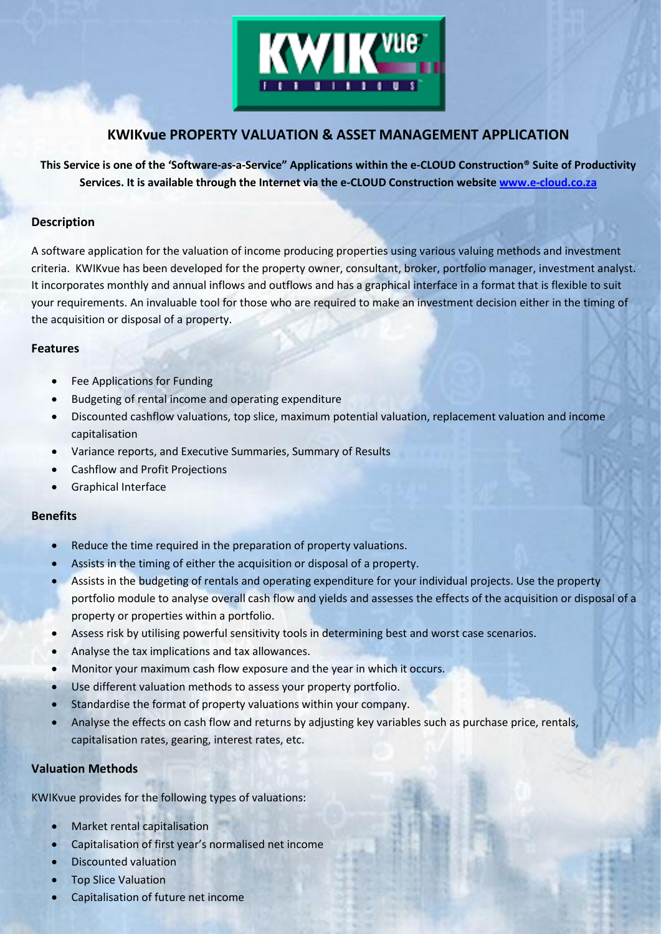

# **KWIKvue PROPERTY VALUATION & ASSET MANAGEMENT APPLICATION**

**This Service is one of the 'Software-as-a-Service" Applications within the e-CLOUD Construction® Suite of Productivity Services. It is available through the Internet via the e-CLOUD Construction website [www.e-cloud.co.za](http://www.e-cloud.co.za/)**

## **Description**

A software application for the valuation of income producing properties using various valuing methods and investment criteria. KWIKvue has been developed for the property owner, consultant, broker, portfolio manager, investment analyst. It incorporates monthly and annual inflows and outflows and has a graphical interface in a format that is flexible to suit your requirements. An invaluable tool for those who are required to make an investment decision either in the timing of the acquisition or disposal of a property.

### **Features**

- Fee Applications for Funding
- Budgeting of rental income and operating expenditure
- Discounted cashflow valuations, top slice, maximum potential valuation, replacement valuation and income capitalisation
- Variance reports, and Executive Summaries, Summary of Results
- Cashflow and Profit Projections
- Graphical Interface

# **Benefits**

- Reduce the time required in the preparation of property valuations.
- Assists in the timing of either the acquisition or disposal of a property.
- Assists in the budgeting of rentals and operating expenditure for your individual projects. Use the property portfolio module to analyse overall cash flow and yields and assesses the effects of the acquisition or disposal of a property or properties within a portfolio.
- Assess risk by utilising powerful sensitivity tools in determining best and worst case scenarios.
- Analyse the tax implications and tax allowances.
- Monitor your maximum cash flow exposure and the year in which it occurs.
- Use different valuation methods to assess your property portfolio.
- Standardise the format of property valuations within your company.
- Analyse the effects on cash flow and returns by adjusting key variables such as purchase price, rentals, capitalisation rates, gearing, interest rates, etc.

# **Valuation Methods**

KWIKvue provides for the following types of valuations:

- Market rental capitalisation
- Capitalisation of first year's normalised net income
- Discounted valuation
- Top Slice Valuation
- Capitalisation of future net income